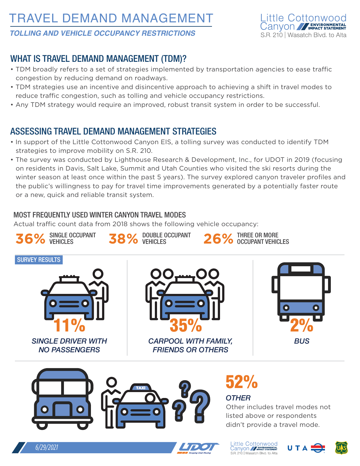# TRAVEL DEMAND MANAGEMENT



#### *TOLLING AND VEHICLE OCCUPANCY RESTRICTIONS*

## WHAT IS TRAVEL DEMAND MANAGEMENT (TDM)?

- TDM broadly refers to a set of strategies implemented by transportation agencies to ease traffic congestion by reducing demand on roadways.
- TDM strategies use an incentive and disincentive approach to achieving a shift in travel modes to reduce traffic congestion, such as tolling and vehicle occupancy restrictions.
- Any TDM strategy would require an improved, robust transit system in order to be successful.

### ASSESSING TRAVEL DEMAND MANAGEMENT STRATEGIES

- In support of the Little Cottonwood Canyon EIS, a tolling survey was conducted to identify TDM strategies to improve mobility on S.R. 210.
- The survey was conducted by Lighthouse Research & Development, Inc., for UDOT in 2019 (focusing on residents in Davis, Salt Lake, Summit and Utah Counties who visited the ski resorts during the winter season at least once within the past 5 years). The survey explored canyon traveler profiles and the public's willingness to pay for travel time improvements generated by a potentially faster route or a new, quick and reliable transit system.

#### MOST FREQUENTLY USED WINTER CANYON TRAVEL MODES

Actual traffic count data from 2018 shows the following vehicle occupancy:









Little Cottonwood<br>Canyon // FINALES SATEMENT S.R. 210 | Wasatch Blvd. to Alta

*OTHER*



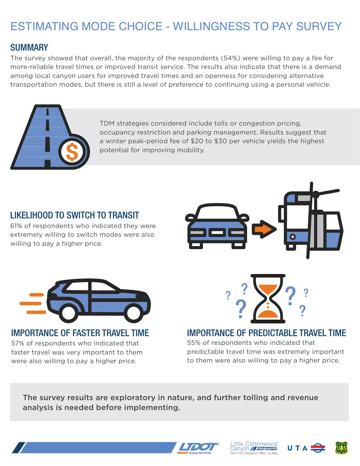# ESTIMATING MODE CHOICE - WILLINGNESS TO PAY SURVEY

### **SUMMARY**

The survey showed that overall, the majority of the respondents (54%) were willing to pay a fee for more-reliable travel times or improved transit service. The results also indicate that there is a demand among local canyon users for improved travel times and an openness for considering alternative transportation modes, but there is still a level of preference to continuing using a personal vehicle.



TDM strategies considered include tolls or congestion pricing, occupancy restriction and parking management. Results suggest that a winter peak-period fee of \$20 to \$30 per vehicle yields the highest potential for improving mobility.

## LIKELIHOOD TO SWITCH TO TRANSIT

61% of respondents who indicated they were extremely willing to switch modes were also willing to pay a higher price.



IMPORTANCE OF FASTER TRAVEL TIME 57% of respondents who indicated that faster travel was very important to them were also willing to pay a higher price.



#### IMPORTANCE OF PREDICTABLE TRAVEL TIME

55% of respondents who indicated that predictable travel time was extremely important to them were also willing to pay a higher price.

The survey results are exploratory in nature, and further tolling and revenue analysis is needed before implementing.







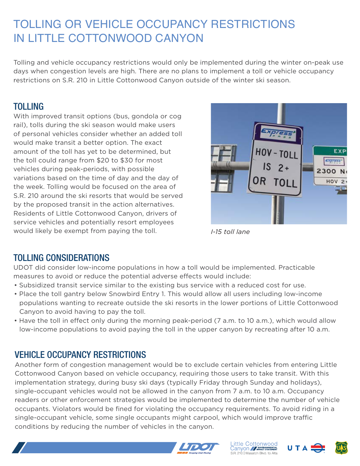# TOLLING OR VEHICLE OCCUPANCY RESTRICTIONS IN LITTLE COTTONWOOD CANYON

Tolling and vehicle occupancy restrictions would only be implemented during the winter on-peak use days when congestion levels are high. There are no plans to implement a toll or vehicle occupancy restrictions on S.R. 210 in Little Cottonwood Canyon outside of the winter ski season.

## TOLLING

With improved transit options (bus, gondola or cog rail), tolls during the ski season would make users of personal vehicles consider whether an added toll would make transit a better option. The exact amount of the toll has yet to be determined, but the toll could range from \$20 to \$30 for most vehicles during peak-periods, with possible variations based on the time of day and the day of the week. Tolling would be focused on the area of S.R. 210 around the ski resorts that would be served by the proposed transit in the action alternatives. Residents of Little Cottonwood Canyon, drivers of service vehicles and potentially resort employees would likely be exempt from paying the toll.



*I-15 toll lane*

## TOLLING CONSIDERATIONS

UDOT did consider low-income populations in how a toll would be implemented. Practicable measures to avoid or reduce the potential adverse effects would include:

- Subsidized transit service similar to the existing bus service with a reduced cost for use.
- Place the toll gantry below Snowbird Entry 1. This would allow all users including low-income populations wanting to recreate outside the ski resorts in the lower portions of Little Cottonwood Canyon to avoid having to pay the toll.
- Have the toll in effect only during the morning peak-period (7 a.m. to 10 a.m.), which would allow low-income populations to avoid paying the toll in the upper canyon by recreating after 10 a.m.

## VEHICLE OCCUPANCY RESTRICTIONS

Another form of congestion management would be to exclude certain vehicles from entering Little Cottonwood Canyon based on vehicle occupancy, requiring those users to take transit. With this implementation strategy, during busy ski days (typically Friday through Sunday and holidays), single-occupant vehicles would not be allowed in the canyon from 7 a.m. to 10 a.m. Occupancy readers or other enforcement strategies would be implemented to determine the number of vehicle occupants. Violators would be fined for violating the occupancy requirements. To avoid riding in a single-occupant vehicle, some single occupants might carpool, which would improve traffic conditions by reducing the number of vehicles in the canyon.